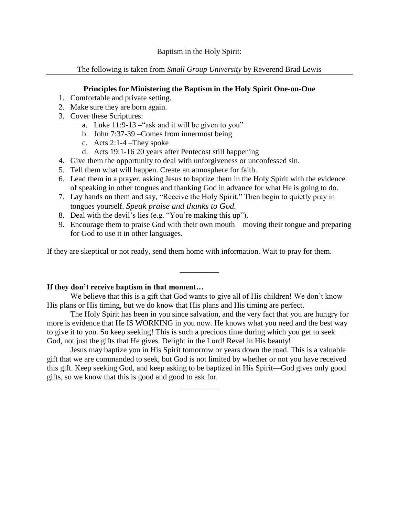Baptism in the Holy Spirit:

The following is taken from *Small Group University* by Reverend Brad Lewis

# **Principles for Ministering the Baptism in the Holy Spirit One-on-One**

- 1. Comfortable and private setting.
- 2. Make sure they are born again.
- 3. Cover these Scriptures:
	- a. Luke 11:9-13 –"ask and it will be given to you"
	- b. John 7:37-39 –Comes from innermost being
	- c. Acts 2:1-4 –They spoke
	- d. Acts 19:1-16 20 years after Pentecost still happening
- 4. Give them the opportunity to deal with unforgiveness or unconfessed sin.
- 5. Tell them what will happen. Create an atmosphere for faith.
- 6. Lead them in a prayer, asking Jesus to baptize them in the Holy Spirit with the evidence of speaking in other tongues and thanking God in advance for what He is going to do.
- 7. Lay hands on them and say, "Receive the Holy Spirit." Then begin to quietly pray in tongues yourself. *Speak praise and thanks to God.*
- 8. Deal with the devil's lies (e.g. "You're making this up").
- 9. Encourage them to praise God with their own mouth—moving their tongue and preparing for God to use it in other languages.

If they are skeptical or not ready, send them home with information. Wait to pray for them.

# **If they don't receive baptism in that moment…**

We believe that this is a gift that God wants to give all of His children! We don't know His plans or His timing, but we do know that His plans and His timing are perfect.

 $\overline{\phantom{a}}$ 

The Holy Spirit has been in you since salvation, and the very fact that you are hungry for more is evidence that He IS WORKING in you now. He knows what you need and the best way to give it to you. So keep seeking! This is such a precious time during which you get to seek God, not just the gifts that He gives. Delight in the Lord! Revel in His beauty!

Jesus may baptize you in His Spirit tomorrow or years down the road. This is a valuable gift that we are commanded to seek, but God is not limited by whether or not you have received this gift. Keep seeking God, and keep asking to be baptized in His Spirit—God gives only good gifts, so we know that this is good and good to ask for.

\_\_\_\_\_\_\_\_\_\_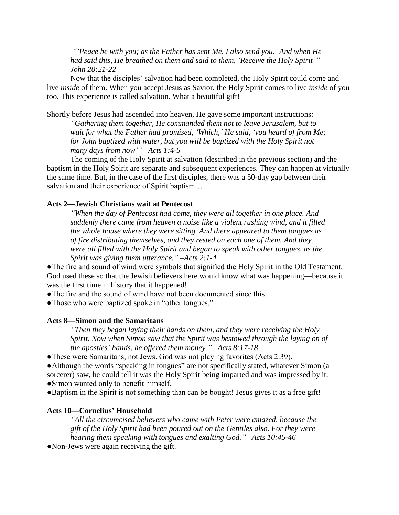*"'Peace be with you; as the Father has sent Me, I also send you.' And when He had said this, He breathed on them and said to them, 'Receive the Holy Spirit'" – John 20:21-22*

Now that the disciples' salvation had been completed, the Holy Spirit could come and live *inside* of them. When you accept Jesus as Savior, the Holy Spirit comes to live *inside* of you too. This experience is called salvation. What a beautiful gift!

Shortly before Jesus had ascended into heaven, He gave some important instructions:

*"Gathering them together, He commanded them not to leave Jerusalem, but to wait for what the Father had promised, 'Which,' He said, 'you heard of from Me; for John baptized with water, but you will be baptized with the Holy Spirit not many days from now'" –Acts 1:4-5*

The coming of the Holy Spirit at salvation (described in the previous section) and the baptism in the Holy Spirit are separate and subsequent experiences. They can happen at virtually the same time. But, in the case of the first disciples, there was a 50-day gap between their salvation and their experience of Spirit baptism…

## **Acts 2—Jewish Christians wait at Pentecost**

*"When the day of Pentecost had come, they were all together in one place. And suddenly there came from heaven a noise like a violent rushing wind, and it filled the whole house where they were sitting. And there appeared to them tongues as of fire distributing themselves, and they rested on each one of them. And they were all filled with the Holy Spirit and began to speak with other tongues, as the Spirit was giving them utterance." –Acts 2:1-4*

●The fire and sound of wind were symbols that signified the Holy Spirit in the Old Testament. God used these so that the Jewish believers here would know what was happening—because it was the first time in history that it happened!

●The fire and the sound of wind have not been documented since this.

• Those who were baptized spoke in "other tongues."

## **Acts 8—Simon and the Samaritans**

*"Then they began laying their hands on them, and they were receiving the Holy Spirit. Now when Simon saw that the Spirit was bestowed through the laying on of the apostles' hands, he offered them money." –Acts 8:17-18*

●These were Samaritans, not Jews. God was not playing favorites (Acts 2:39).

●Although the words "speaking in tongues" are not specifically stated, whatever Simon (a sorcerer) saw, he could tell it was the Holy Spirit being imparted and was impressed by it. ●Simon wanted only to benefit himself.

●Baptism in the Spirit is not something than can be bought! Jesus gives it as a free gift!

## **Acts 10—Cornelius' Household**

*"All the circumcised believers who came with Peter were amazed, because the gift of the Holy Spirit had been poured out on the Gentiles also. For they were hearing them speaking with tongues and exalting God." –Acts 10:45-46*

●Non-Jews were again receiving the gift.